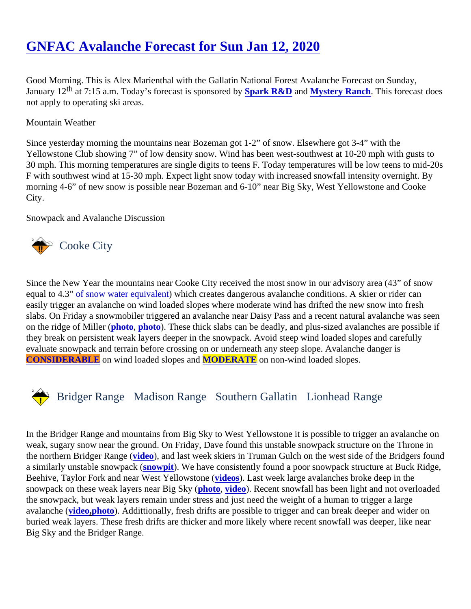# [GNFAC Avalanche Forecast for Sun Jan 12, 202](https://www.mtavalanche.com/forecast/20/01/12)0

Good Morning. This is Alex Marienthal with the Gallatin National Forest Avalanche Forecast on Sunday, January 1<sup>th</sup> at 7:15 a.m. Today's forecast is sponsore **Spark R&D** and Mystery Ranch. This forecast does not apply to operating ski areas.

Mountain Weather

Since yesterday morning the mountains near Bozeman got 1-2" of snow. Elsewhere got 3-4" with the Yellowstone Club showing 7" of low density snow. Wind has been west-southwest at 10-20 mph with gusts to 30 mph. This morning temperatures are single digits to teens F. Today temperatures will be low teens to mid-F with southwest wind at 15-30 mph. Expect light snow today with increased snowfall intensity overnight. By morning 4-6" of new snow is possible near Bozeman and 6-10" near Big Sky, West Yellowstone and Cooke City.

Snowpack and Avalanche Discussion

## Cooke City

Since the New Year the mountains near Cooke City received the most snow in our advisory area (43" of snow equal to 4.3[" of snow water equivale](https://www.nrcs.usda.gov/wps/portal/nrcs/detail/or/snow/?cid=nrcs142p2_046155) hwhich creates dangerous avalanche conditions. A skier or rider can easily trigger an avalanche on wind loaded slopes where moderate wind has drifted the new snow into fresh slabs. On Friday a snowmobiler triggered an avalanche near Daisy Pass and a recent natural avalanche was on the ridge of Miller [\(photo,](https://www.mtavalanche.com/images/20/snowmobile-triggered-slide-chimney-rock) [photo](https://www.mtavalanche.com/images/20/natural-avalanche-miller-mountain)). These thick slabs can be deadly, and plus-sized avalanches are possible they break on persistent weak layers deeper in the snowpack. Avoid steep wind loaded slopes and carefully evaluate snowpack and terrain before crossing on or underneath any steep slope. Avalanche danger is [CONSIDERABLE](https://www.mtavalanche.com/images/DangerScale-small.jpg) on wind loaded slopes aMODERATE on non-wind loaded slopes.

## Bridger Range Madison RangeSouthern Gallatin Lionhead Range

In the Bridger Range and mountains from Big Sky to West Yellowstone it is possible to trigger an avalanche on weak, sugary snow near the ground. On Friday, Dave found this unstable snowpack structure on the Throne i the northern Bridger Rangeideo), and last week skiers in Truman Gulch on the west side of the Bridgers found a similarly unstable snowpacknowpit). We have consistently found a poor snowpack structure at Buck Ridge, Beehive, Taylor Fork and near West Yellowstorid (os). Last week large avalanches broke deep in the snowpack on these weak layers near Big Sky (o, [video\)](https://www.youtube.com/watch?v=7vDe6LE-nhU&list=PLXu5151nmAvSbcbVfoR785MxkqkNVy8Pp&index=6&t=0s). Recent snowfall has been light and not overloaded the snowpack, but weak layers remain under stress and just need the weight of a human to trigger a large avalanche (ideo[,photo\)](https://www.mtavalanche.com/images/20/hebgan-lake-road-cut-avalanche-jan-9). Addittionally, fresh drifts are possible to trigger and can break deeper and wider on buried weak layers. These fresh drifts are thicker and more likely where recent snowfall was deeper, like near Big Sky and the Bridger Range.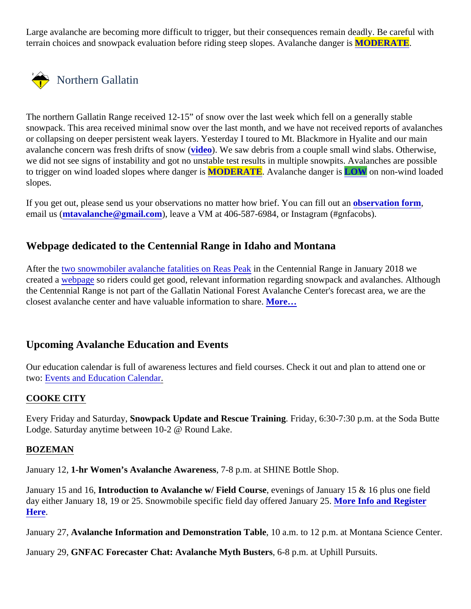Large avalanche are becoming more difficult to trigger, but their consequences remain deadly. Be careful with terrain choices and snowpack evaluation before riding steep slopes. Avalanche **MODERATE**.

## Northern Gallatin

The northern Gallatin Range received 12-15" of snow over the last week which fell on a generally stable snowpack. This area received minimal snow over the last month, and we have not received reports of avalane or collapsing on deeper persistent weak layers. Yesterday I toured to Mt. Blackmore in Hyalite and our main avalanche concern was fresh drifts of snow (0). We saw debris from a couple small wind slabs. Otherwise, we did not see signs of instability and got no unstable test results in multiple snowpits. Avalanches are possib to trigger on wind loaded slopes where dang MODERATE. Avalanche danger LOW on non-wind loaded slopes.

If you get out, please send us your observations no matter how brief. You can fillobuste and form, email us *(mtavalanche@gmail.com)*, leave a VM at 406-587-6984, or Instagram (#gnfacobs).

### Webpage dedicated to the Centennial Range in Idaho and Montana

Afterthe two snowmobiler avalanche fatalities on Reas Freative Centennial Range in January 2018 we created avebpageso riders could get good, relevant information regarding snowpack and avalanches. Althought the Centennial Range is not part of the Gallatin National Forest Avalanche Center's forecast area, we are the closest avalanche center and have valuable information to **share.**..

### Upcoming Avalanche Education and Events

Our education calendar is full of awareness lectures and field courses. Check it out and plan to attend one or two: [Events and Education Calen](http://www.mtavalanche.com/workshops/calendar)dar

#### COOKE CITY

Every Friday and Saturda Spowpack Update and Rescue Training Friday, 6:30-7:30 p.m. at the Soda Butte Lodge. Saturday anytime between 10-2 @ Round Lake.

#### BOZEMAN

January 121-hr Women's Avalanche Awareness7-8 p.m. at SHINE Bottle Shop.

January 15 and 16, troduction to Avalanche w/ Field Course evenings of January 15 & 16 plus one field day either January 18, 19 or 25. Snowmobile specific field day offered Janu[ary 25. More Info and Register](https://events.ticketprinting.com/event/Asmsu-Avalanche-Fundamentals-W-Field-Session-Jan-35404) [Here](https://events.ticketprinting.com/event/Asmsu-Avalanche-Fundamentals-W-Field-Session-Jan-35404).

January 27, Avalanche Information and Demonstration Table 10 a.m. to 12 p.m. at Montana Science Center.

January 29GNFAC Forecaster Chat: Avalanche Myth Busters 6-8 p.m. at Uphill Pursuits.